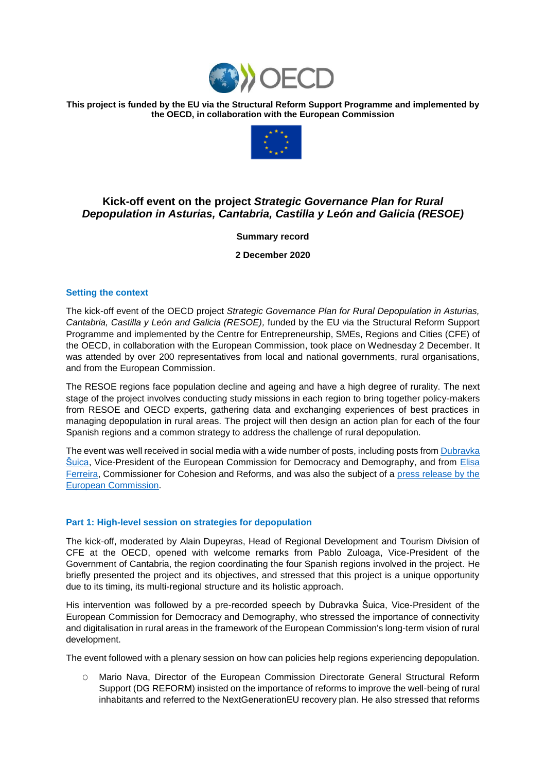

**This project is funded by the EU via the Structural Reform Support Programme and implemented by the OECD, in collaboration with the European Commission**



# **Kick-off event on the project** *Strategic Governance Plan for Rural Depopulation in Asturias, Cantabria, Castilla y León and Galicia (RESOE)*

**Summary record**

**2 December 2020**

## **Setting the context**

The kick-off event of the OECD project *Strategic Governance Plan for Rural Depopulation in Asturias, Cantabria, Castilla y León and Galicia (RESOE),* funded by the EU via the Structural Reform Support Programme and implemented by the Centre for Entrepreneurship, SMEs, Regions and Cities (CFE) of the OECD, in collaboration with the European Commission, took place on Wednesday 2 December. It was attended by over 200 representatives from local and national governments, rural organisations, and from the European Commission.

The RESOE regions face population decline and ageing and have a high degree of rurality. The next stage of the project involves conducting study missions in each region to bring together policy-makers from RESOE and OECD experts, gathering data and exchanging experiences of best practices in managing depopulation in rural areas. The project will then design an action plan for each of the four Spanish regions and a common strategy to address the challenge of rural depopulation.

The event was well received in social media with a wide number of posts, including posts from Dubravka [Šuica,](https://twitter.com/dubravkasuica/status/1334189347797659648) Vice-President of the European Commission for Democracy and Demography, and from [Elisa](https://twitter.com/ElisaFerreiraEC/status/1334471702168932353)  [Ferreira,](https://twitter.com/ElisaFerreiraEC/status/1334471702168932353) Commissioner for Cohesion and Reforms, and was also the subject of a press release by the [European Commission.](https://ec.europa.eu/commission/presscorner/detail/en/mex_20_2294)

## **Part 1: High-level session on strategies for depopulation**

The kick-off, moderated by Alain Dupeyras, Head of Regional Development and Tourism Division of CFE at the OECD, opened with welcome remarks from Pablo Zuloaga, Vice-President of the Government of Cantabria, the region coordinating the four Spanish regions involved in the project. He briefly presented the project and its objectives, and stressed that this project is a unique opportunity due to its timing, its multi-regional structure and its holistic approach.

His intervention was followed by a pre-recorded speech by Dubravka Šuica, Vice-President of the European Commission for Democracy and Demography, who stressed the importance of connectivity and digitalisation in rural areas in the framework of the European Commission's long-term vision of rural development.

The event followed with a plenary session on how can policies help regions experiencing depopulation.

O Mario Nava, Director of the European Commission Directorate General Structural Reform Support (DG REFORM) insisted on the importance of reforms to improve the well-being of rural inhabitants and referred to the NextGenerationEU recovery plan. He also stressed that reforms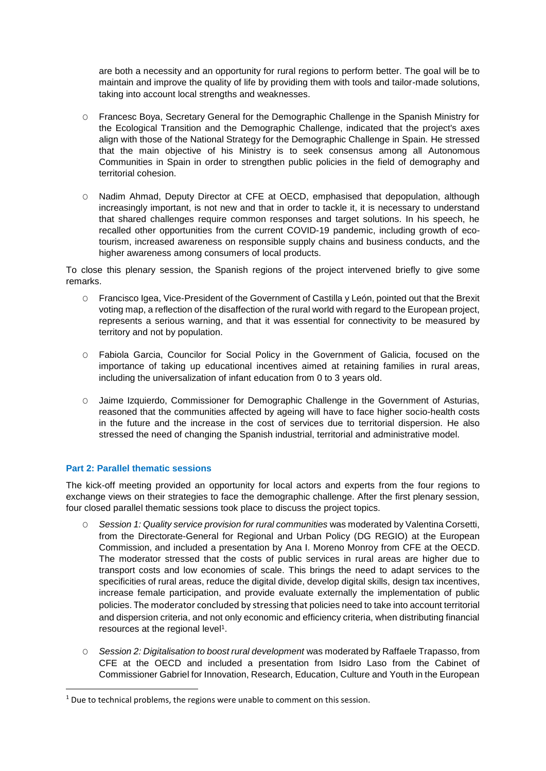are both a necessity and an opportunity for rural regions to perform better. The goal will be to maintain and improve the quality of life by providing them with tools and tailor-made solutions, taking into account local strengths and weaknesses.

- O Francesc Boya, Secretary General for the Demographic Challenge in the Spanish Ministry for the Ecological Transition and the Demographic Challenge, indicated that the project's axes align with those of the National Strategy for the Demographic Challenge in Spain. He stressed that the main objective of his Ministry is to seek consensus among all Autonomous Communities in Spain in order to strengthen public policies in the field of demography and territorial cohesion.
- O Nadim Ahmad, Deputy Director at CFE at OECD, emphasised that depopulation, although increasingly important, is not new and that in order to tackle it, it is necessary to understand that shared challenges require common responses and target solutions. In his speech, he recalled other opportunities from the current COVID-19 pandemic, including growth of ecotourism, increased awareness on responsible supply chains and business conducts, and the higher awareness among consumers of local products.

To close this plenary session, the Spanish regions of the project intervened briefly to give some remarks.

- O Francisco Igea, Vice-President of the Government of Castilla y León, pointed out that the Brexit voting map, a reflection of the disaffection of the rural world with regard to the European project, represents a serious warning, and that it was essential for connectivity to be measured by territory and not by population.
- O Fabiola Garcia, Councilor for Social Policy in the Government of Galicia, focused on the importance of taking up educational incentives aimed at retaining families in rural areas, including the universalization of infant education from 0 to 3 years old.
- O Jaime Izquierdo, Commissioner for Demographic Challenge in the Government of Asturias, reasoned that the communities affected by ageing will have to face higher socio-health costs in the future and the increase in the cost of services due to territorial dispersion. He also stressed the need of changing the Spanish industrial, territorial and administrative model.

## **Part 2: Parallel thematic sessions**

**.** 

The kick-off meeting provided an opportunity for local actors and experts from the four regions to exchange views on their strategies to face the demographic challenge. After the first plenary session, four closed parallel thematic sessions took place to discuss the project topics.

- O *Session 1: Quality service provision for rural communities* was moderated by Valentina Corsetti, from the Directorate-General for Regional and Urban Policy (DG REGIO) at the European Commission, and included a presentation by Ana I. Moreno Monroy from CFE at the OECD. The moderator stressed that the costs of public services in rural areas are higher due to transport costs and low economies of scale. This brings the need to adapt services to the specificities of rural areas, reduce the digital divide, develop digital skills, design tax incentives, increase female participation, and provide evaluate externally the implementation of public policies. The moderator concluded by stressing that policies need to take into account territorial and dispersion criteria, and not only economic and efficiency criteria, when distributing financial resources at the regional level<sup>1</sup>.
- O *Session 2: Digitalisation to boost rural development* was moderated by Raffaele Trapasso, from CFE at the OECD and included a presentation from Isidro Laso from the Cabinet of Commissioner Gabriel for Innovation, Research, Education, Culture and Youth in the European

<sup>&</sup>lt;sup>1</sup> Due to technical problems, the regions were unable to comment on this session.